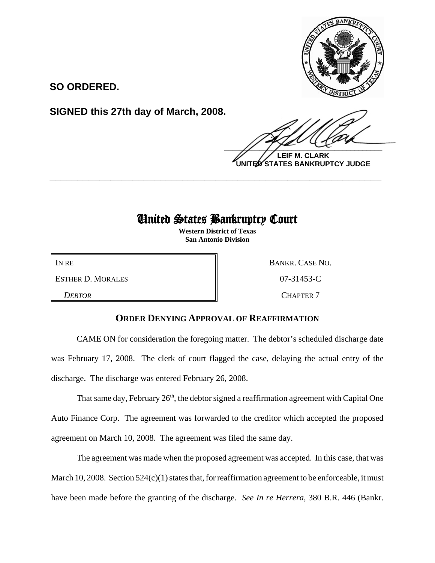

**SO ORDERED.**

**SIGNED this 27th day of March, 2008.**

 $\frac{1}{2}$ 

**LEIF M. CLARK UNITED STATES BANKRUPTCY JUDGE**

## United States Bankruptcy Court

**\_\_\_\_\_\_\_\_\_\_\_\_\_\_\_\_\_\_\_\_\_\_\_\_\_\_\_\_\_\_\_\_\_\_\_\_\_\_\_\_\_\_\_\_\_\_\_\_\_\_\_\_\_\_\_\_\_\_\_\_**

**Western District of Texas San Antonio Division**

ESTHER D. MORALES 8 207-31453-C

IN RE BANKR. CASE NO.

**DEBTOR** CHAPTER 7

## **ORDER DENYING APPROVAL OF REAFFIRMATION**

CAME ON for consideration the foregoing matter. The debtor's scheduled discharge date was February 17, 2008. The clerk of court flagged the case, delaying the actual entry of the discharge. The discharge was entered February 26, 2008.

That same day, February  $26<sup>th</sup>$ , the debtor signed a reaffirmation agreement with Capital One Auto Finance Corp. The agreement was forwarded to the creditor which accepted the proposed agreement on March 10, 2008. The agreement was filed the same day.

The agreement was made when the proposed agreement was accepted. In this case, that was March 10, 2008. Section 524(c)(1) states that, for reaffirmation agreement to be enforceable, it must have been made before the granting of the discharge. *See In re Herrera*, 380 B.R. 446 (Bankr.